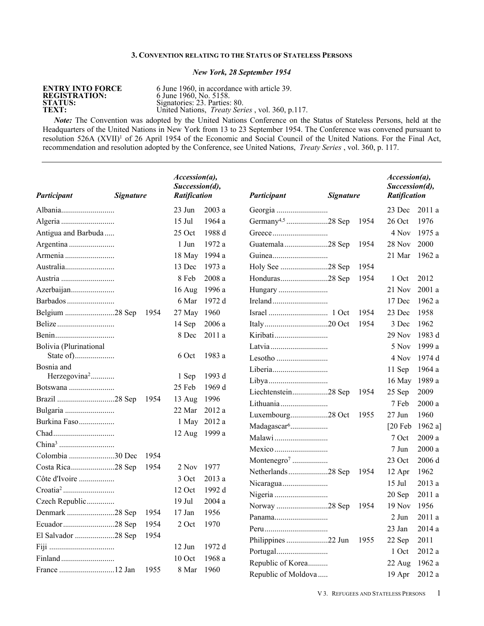### **3. CONVENTION RELATING TO THE STATUS OF STATELESS PERSONS**

# *New York, 28 September 1954*

# **ENTRY INTO FORCE REGISTRATION:** 6 June 1960, No. 5158.

**ENTRY INTO FORCE** 6 June 1960, in accordance with article 39. **STATUS:** Signatories: 23. Parties: 80. **TEXT:** Signatories: 23. Parties: 80.<br> **TEXT:** United Nations, *Treaty Series*, vol. 360, p.117.

*Note:* The Convention was adopted by the United Nations Conference on the Status of Stateless Persons, held at the Headquarters of the United Nations in New York from 13 to 23 September 1954. The Conference was convened pursuant to resolution 526A (XVII)<sup>1</sup> of 26 April 1954 of the Economic and Social Council of the United Nations. For the Final Act, recommendation and resolution adopted by the Conference, see United Nations, *Treaty Series* , vol. 360, p. 117.

| Participant              | <b>Signature</b> | Accession(a),<br>Succession(d),<br><b>Ratification</b> |               | Participant                   | <b>Signature</b> |      | $\textit{Accession}(a)$ ,<br>Succession(d),<br>Ratification |         |
|--------------------------|------------------|--------------------------------------------------------|---------------|-------------------------------|------------------|------|-------------------------------------------------------------|---------|
|                          |                  | $23$ Jun                                               | 2003a         |                               |                  |      | 23 Dec                                                      | 2011a   |
|                          |                  | $15$ Jul                                               | 1964 a        | Germany <sup>4,5</sup> 28 Sep |                  | 1954 | 26 Oct                                                      | 1976    |
| Antigua and Barbuda      |                  | 25 Oct                                                 | 1988 d        |                               |                  |      | 4 Nov                                                       | 1975 a  |
| Argentina                |                  | 1 Jun                                                  | 1972 a        | Guatemala28 Sep               |                  | 1954 | 28 Nov                                                      | 2000    |
| Armenia                  |                  |                                                        | 18 May 1994 a |                               |                  |      | 21 Mar                                                      | 1962 a  |
| Australia                |                  | 13 Dec                                                 | 1973 a        | Holy See 28 Sep               |                  | 1954 |                                                             |         |
| Austria                  |                  | 8 Feb                                                  | 2008 a        |                               |                  | 1954 | 1 Oct                                                       | 2012    |
| Azerbaijan               |                  | $16$ Aug                                               | 1996 a        | Hungary                       |                  |      | 21 Nov                                                      | 2001a   |
| Barbados                 |                  | 6 Mar                                                  | 1972 d        |                               |                  |      | 17 Dec                                                      | 1962 a  |
| Belgium 28 Sep           | 1954             | 27 May                                                 | 1960          |                               |                  | 1954 | 23 Dec                                                      | 1958    |
|                          |                  | 14 Sep                                                 | 2006a         |                               |                  | 1954 | 3 Dec                                                       | 1962    |
|                          |                  | 8 Dec                                                  | 2011 a        |                               |                  |      | $29$ Nov                                                    | 1983 d  |
| Bolivia (Plurinational   |                  |                                                        |               |                               |                  |      | 5 Nov                                                       | 1999 a  |
|                          |                  | 6 Oct                                                  | 1983 a        |                               |                  |      | 4 Nov                                                       | 1974 d  |
| Bosnia and               |                  |                                                        |               |                               |                  |      | 11 Sep                                                      | 1964 a  |
| Herzegovina <sup>2</sup> |                  | 1 Sep                                                  | 1993 d        |                               |                  |      | 16 May                                                      | 1989 a  |
| Botswana                 |                  | 25 Feb                                                 | 1969 d        | Liechtenstein28 Sep           |                  | 1954 | 25 Sep                                                      | 2009    |
|                          | 1954             | 13 Aug                                                 | 1996          |                               |                  |      | 7 Feb                                                       | 2000 a  |
|                          |                  | 22 Mar                                                 | 2012a         | Luxembourg28 Oct              |                  | 1955 | $27 \text{ Jun}$                                            | 1960    |
| Burkina Faso             |                  |                                                        | 1 May 2012 a  | Madagascar <sup>6</sup>       |                  |      | $[20$ Feb                                                   | 1962 a] |
|                          |                  |                                                        | 12 Aug 1999 a |                               |                  |      | 7 Oct                                                       | 2009 a  |
|                          |                  |                                                        |               |                               |                  |      | 7 Jun                                                       | 2000a   |
| Colombia 30 Dec          | 1954             |                                                        |               | Montenegro <sup>7</sup>       |                  |      | 23 Oct                                                      | 2006 d  |
|                          | 1954             | 2 Nov                                                  | 1977          | Netherlands28 Sep             |                  | 1954 | 12 Apr                                                      | 1962    |
| Côte d'Ivoire            |                  | 3 Oct                                                  | 2013 a        | Nicaragua                     |                  |      | $15$ Jul                                                    | 2013 a  |
|                          |                  | 12 Oct                                                 | 1992 d        |                               |                  |      | 20 Sep                                                      | 2011 a  |
| Czech Republic           |                  | $19$ Jul                                               | 2004 a        | Norway 28 Sep                 |                  | 1954 | $19$ Nov                                                    | 1956    |
| Denmark 28 Sep           | 1954             | $17$ Jan                                               | 1956          | Panama                        |                  |      | 2 Jun                                                       | 2011 a  |
|                          | 1954             | 2 Oct                                                  | 1970          |                               |                  |      | $23$ Jan                                                    | 2014a   |
| El Salvador 28 Sep       | 1954             |                                                        |               | Philippines 22 Jun            |                  | 1955 | 22 Sep                                                      | 2011    |
|                          |                  | $12$ Jun                                               | 1972 d        |                               |                  |      | 1 Oct                                                       | 2012 a  |
|                          |                  | 10 Oct                                                 | 1968 a        | Republic of Korea             |                  |      | 22 Aug                                                      | 1962 a  |
|                          | 1955             | 8 Mar                                                  | 1960          | Republic of Moldova           |                  |      | 19 Apr                                                      | 2012a   |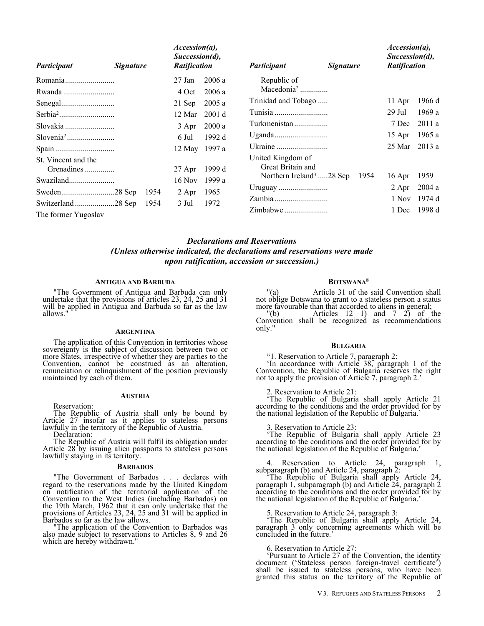| Participant                       | <b>Signature</b> |      | $Accession(a)$ ,<br>Succession(d),<br>Ratification |          | <i>Participant</i><br><b>Signature</b> |      | $Accession(a)$ ,<br>Succession(d),<br>Ratification |        |
|-----------------------------------|------------------|------|----------------------------------------------------|----------|----------------------------------------|------|----------------------------------------------------|--------|
| Romania                           |                  |      | 27 Jan                                             | 2006a    | Republic of                            |      |                                                    |        |
|                                   |                  |      | 4 Oct                                              | 2006 a   | Macedonia <sup>2</sup>                 |      |                                                    |        |
|                                   |                  |      | 21 Sep                                             | 2005a    | Trinidad and Tobago                    |      | 11 Apr                                             | 1966 d |
|                                   |                  |      | 12 Mar                                             | 2001 d   |                                        |      | 29 Jul                                             | 1969 a |
|                                   |                  |      | 3 Apr                                              | 2000a    | Turkmenistan                           |      | 7 Dec                                              | 2011 a |
|                                   |                  |      | 6 Jul                                              | 1992 $d$ |                                        |      | 15 Apr                                             | 1965 a |
|                                   |                  |      | 12 May                                             | 1997 a   |                                        |      | 25 Mar                                             | 2013a  |
| St. Vincent and the<br>Grenadines |                  |      | $27$ Apr                                           | 1999 d   | United Kingdom of<br>Great Britain and |      |                                                    |        |
|                                   |                  |      | 16 Nov                                             | 1999 a   | Northern Ireland <sup>3</sup> 28 Sep   | 1954 | 16 Apr                                             | 1959   |
|                                   |                  | 1954 | 2 Apr                                              | 1965     |                                        |      | $2$ Apr                                            | 2004a  |
|                                   |                  | 1954 | 3 Jul                                              | 1972     |                                        |      | 1 Nov                                              | 1974 d |
| The former Yugoslav               |                  |      |                                                    |          |                                        |      | 1 Dec                                              | 1998 d |

# *Declarations and Reservations (Unless otherwise indicated, the declarations and reservations were made upon ratification, accession or succession.)*

### **ANTIGUA AND BARBUDA**

"The Government of Antigua and Barbuda can only undertake that the provisions of articles 23, 24, 25 and 31 will be applied in Antigua and Barbuda so far as the law allows."

### **ARGENTINA**

The application of this Convention in territories whose sovereignty is the subject of discussion between two or more States, irrespective of whether they are parties to the Convention, cannot be construed as an alteration, renunciation or relinquishment of the position previously maintained by each of them.

### **AUSTRIA**

Reservation:

The Republic of Austria shall only be bound by Article 27 insofar as it applies to stateless persons lawfully in the territory of the Republic of Austria.

Declaration:

The Republic of Austria will fulfil its obligation under Article 28 by issuing alien passports to stateless persons lawfully staying in its territory.

### **BARBADOS**

"The Government of Barbados . . . declares with regard to the reservations made by the United Kingdom on notification of the territorial application of the Convention to the West Indies (including Barbados) on the 19th March, 1962 that it can only undertake that the provisions of Articles 23, 24, 25 and 31 will be applied in Barbados so far as the law allows.

"The application of the Convention to Barbados was also made subject to reservations to Articles 8, 9 and 26 which are hereby withdrawn."

### **BOTSWANA<sup>8</sup>**

"(a) Article 31 of the said Convention shall not oblige Botswana to grant to a stateless person a status more favourable than that accorded to aliens in general;

 $"$ (b) Articles 12 1) and 7 2) of the Convention shall be recognized as recommendations only."

### **BULGARIA**

"1. Reservation to Article 7, paragraph 2:

'In accordance with Article 38, paragraph 1 of the Convention, the Republic of Bulgaria reserves the right not to apply the provision of Article 7, paragraph 2.'

### 2. Reservation to Article 21:

'The Republic of Bulgaria shall apply Article 21 according to the conditions and the order provided for by the national legislation of the Republic of Bulgaria.'

### 3. Reservation to Article 23:

'The Republic of Bulgaria shall apply Article 23 according to the conditions and the order provided for by the national legislation of the Republic of Bulgaria.'

### 4. Reservation to Article 24, paragraph 1, subparagraph (b) and Article 24, paragraph 2:

'The Republic of Bulgaria shall apply Article 24, paragraph 1, subparagraph (b) and Article 24, paragraph 2 according to the conditions and the order provided for by the national legislation of the Republic of Bulgaria.'

### 5. Reservation to Article 24, paragraph 3:

'The Republic of Bulgaria shall apply Article 24, paragraph 3 only concerning agreements which will be concluded in the future.'

6. Reservation to Article 27:

'Pursuant to Article 27 of the Convention, the identity document ('Stateless person foreign-travel certificate') shall be issued to stateless persons, who have been granted this status on the territory of the Republic of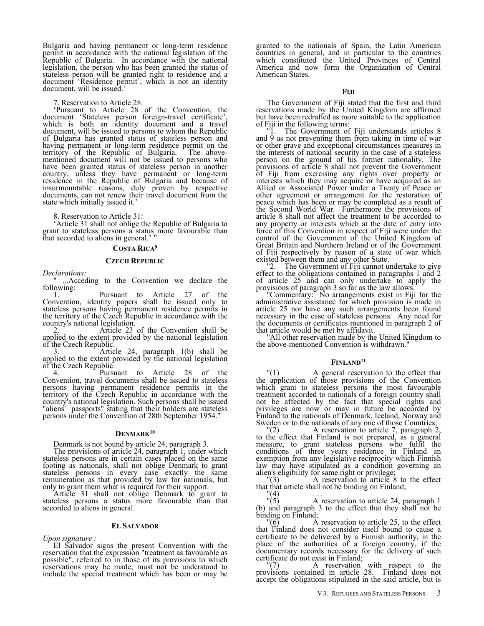Bulgaria and having permanent or long-term residence permit in accordance with the national legislation of the Republic of Bulgaria. In accordance with the national legislation, the person who has been granted the status of stateless person will be granted right to residence and a document 'Residence permit', which is not an identity document, will be issued.'

7. Reservation to Article 28:

'Pursuant to Article 28 of the Convention, the document 'Stateless person foreign-travel certificate', which is both an identity document and a travel document, will be issued to persons to whom the Republic of Bulgaria has granted status of stateless person and having permanent or long-term residence permit on the territory of the Republic of Bulgaria. The above- $\text{territory}$  of the Republic of Bulgaria. mentioned document will not be issued to persons who have been granted status of stateless person in another country, unless they have permanent or long-term residence in the Republic of Bulgaria and because of insurmountable reasons, duly proven by respective documents, can not renew their travel document from the state which initially issued it.'

8. Reservation to Article 31:

'Article 31 shall not oblige the Republic of Bulgaria to grant to stateless persons a status more favourable than that accorded to aliens in general.'

### **COSTA RICA<sup>9</sup>**

### **CZECH REPUBLIC**

*Declarations:*

...Acceding to the Convention we declare the following:

1. Pursuant to Article 27 of the Convention, identity papers shall be issued only to stateless persons having permanent residence permits in the territory of the Czech Republic in accordance with the country's national legislation.

2. Article 23 of the Convention shall be applied to the extent provided by the national legislation of the Czech Republic.

3. Article 24, paragraph 1(b) shall be applied to the extent provided by the national legislation of the Czech Republic.<br>4. Pursu

Pursuant to Article 28 of the Convention, travel documents shall be issued to stateless persons having permanent residence permits in the territory of the Czech Republic in accordance with the country's national legislation. Such persons shall be issued "aliens' passports" stating that their holders are stateless persons under the Convention of 28th September 1954."

## **DENMARK<sup>10</sup>**

Denmark is not bound by article 24, paragraph 3.

The provisions of article 24, paragraph 1, under which stateless persons are in certain cases placed on the same footing as nationals, shall not oblige Denmark to grant stateless persons in every case exactly the same remuneration as that provided by law for nationals, but only to grant them what is required for their support.

Article 31 shall not oblige Denmark to grant to stateless persons a status more favourable than that accorded to aliens in general.

### **EL SALVADOR**

*Upon signature :*

El Salvador signs the present Convention with the reservation that the expression "treatment as favourable as possible", referred to in those of its provisions to which reservations may be made, must not be understood to include the special treatment which has been or may be granted to the nationals of Spain, the Latin American countries in general, and in particular to the countries which constituted the United Provinces of Central America and now form the Organization of Central American States.

The Government of Fiji stated that the first and third reservations made by the United Kingdom are affirmed but have been redrafted as more suitable to the application of Fiji in the following terms:<br>"1. The Government of

The Government of Fiji understands articles 8 and 9 as not preventing them from taking in time of war or other grave and exceptional circumstances measures in the interests of national security in the case of a stateless person on the ground of his former nationality. The provisions of article 8 shall not prevent the Government of Fiji from exercising any rights over property or interests which they may acquire or have acquired as an Allied or Associated Power under a Treaty of Peace or other agreement or arrangement for the restoration of peace which has been or may be completed as a result of the Second World War. Furthermore the provisions of article 8 shall not affect the treatment to be accorded to any property or interests which at the date of entry into force of this Convention in respect of Fiji were under the control of the Government of the United Kingdom of Great Britain and Northern Ireland or of the Government of Fiji respectively by reason of a state of war which existed between them and any other State.

The Government of Fiji cannot undertake to give effect to the obligations contained in paragraphs 1 and 2 of article 25 and can only undertake to apply the provisions of paragraph 3 so far as the law allows.

"Commentary: No arrangements exist in Fiji for the administrative assistance for which provision is made in article 25 nor have any such arrangements been found necessary in the case of stateless persons. Any need for the documents or certificates mentioned in paragraph 2 of that article would be met by affidavit.

All other reservation made by the United Kingdom to the above-mentioned Convention is withdrawn."

### **FINLAND<sup>11</sup>**

"(1) A general reservation to the effect that the application of those provisions of the Convention which grant to stateless persons the most favourable treatment accorded to nationals of a foreign country shall not be affected by the fact that special rights and privileges are now or may in future be accorded by Finland to the nationals of Denmark, Iceland, Norway and Sweden or to the nationals of any one of those Countries;<br> $(2)$  A reservation to article 7, paragraph 2

 $\binom{m}{2}$  A reservation to article 7, paragraph 2, to the effect that Finland is not prepared, as a general measure, to grant stateless persons who fulfil the conditions of three years residence in Finland an exemption from any legislative reciprocity which Finnish law may have stipulated as a condition governing an

alien's eligibility for same right or privilege;<br> $(3)$  A reservation to article i A reservation to article 8 to the effect that that article shall not be binding on Finland;

 $\binom{11}{11}$ A reservation to article 24, paragraph 1 (b) and paragraph 3 to the effect that they shall not be binding on Finland;<br> $(6)$  A

A reservation to article 25, to the effect that Finland does not consider itself bound to cause a certificate to be delivered by a Finnish authority, in the place of the authorities of a foreign country, if the documentary records necessary for the delivery of such

certificate do not exist in Finland;<br>"(7) A reservation A reservation with respect to the provisions contained in article 28. Finland does not accept the obligations stipulated in the said article, but is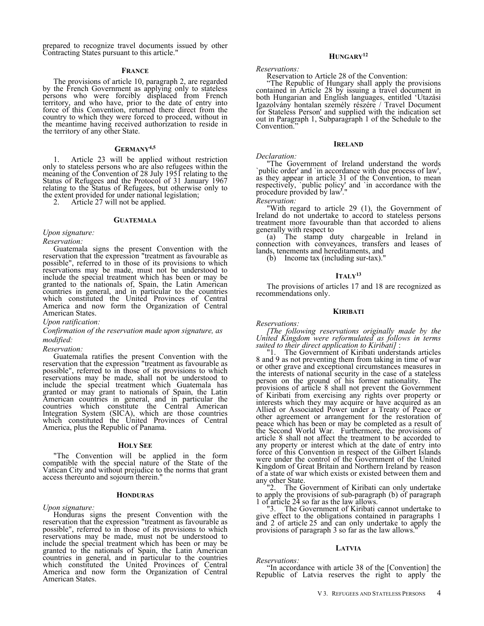prepared to recognize travel documents issued by other Contracting States pursuant to this article."

### **FRANCE**

The provisions of article 10, paragraph 2, are regarded by the French Government as applying only to stateless persons who were forcibly displaced from French territory, and who have, prior to the date of entry into force of this Convention, returned there direct from the country to which they were forced to proceed, without in the meantime having received authorization to reside in the territory of any other State.

# **GERMANY4,5**

1. Article 23 will be applied without restriction only to stateless persons who are also refugees within the meaning of the Convention of 28 July 1951 relating to the Status of Refugees and the Protocol of 31 January 1967 relating to the Status of Refugees, but otherwise only to the extent provided for under national legislation;<br>2. Article 27 will not be applied.

Article 27 will not be applied.

### **GUATEMALA**

### *Upon signature:*

*Reservation:*

Guatemala signs the present Convention with the reservation that the expression "treatment as favourable as possible", referred to in those of its provisions to which reservations may be made, must not be understood to include the special treatment which has been or may be granted to the nationals of, Spain, the Latin American countries in general, and in particular to the countries which constituted the United Provinces of Central America and now form the Organization of Central American States.

# *Upon ratification:*

*Confirmation of the reservation made upon signature, as modified:*

## *Reservation:*

Guatemala ratifies the present Convention with the reservation that the expression "treatment as favourable as possible", referred to in those of its provisions to which reservations may be made, shall not be understood to include the special treatment which Guatemala has granted or may grant to nationals of Spain, the Latin American countries in general, and in particular the countries which constitute the Central American Integration System (SICA), which are those countries which constituted the United Provinces of Central America, plus the Republic of Panama.

### **HOLY SEE**

"The Convention will be applied in the form compatible with the special nature of the State of the Vatican City and without prejudice to the norms that grant access thereunto and sojourn therein."

### **HONDURAS**

*Upon signature:*

Honduras signs the present Convention with the reservation that the expression "treatment as favourable as possible", referred to in those of its provisions to which reservations may be made, must not be understood to include the special treatment which has been or may be granted to the nationals of Spain, the Latin American countries in general, and in particular to the countries which constituted the United Provinces of Central America and now form the Organization of Central American States.

# **HUNGARY<sup>12</sup>**

*Reservations:*

Reservation to Article 28 of the Convention:

"The Republic of Hungary shall apply the provisions contained in Article 28 by issuing a travel document in both Hungarian and English languages, entitled 'Utazási Igazolvány hontalan személy részére / Travel Document for Stateless Person' and supplied with the indication set out in Paragraph 1, Subparagraph 1 of the Schedule to the Convention.

### **IRELAND**

### *Declaration:*

"The Government of Ireland understand the words `public order' and `in accordance with due process of law', as they appear in article 31 of the Convention, to mean respectively, `public policy' and `in accordance with the procedure provided by law<sup>1</sup>.

*Reservation:*

"With regard to article 29 (1), the Government of Ireland do not undertake to accord to stateless persons treatment more favourable than that accorded to aliens generally with respect to

(a) The stamp duty chargeable in Ireland in connection with conveyances, transfers and leases of lands, tenements and hereditaments, and

(b) Income tax (including sur-tax).

### **ITALY<sup>13</sup>**

The provisions of articles 17 and 18 are recognized as recommendations only.

### **KIRIBATI**

### *Reservations:*

*[The following reservations originally made by the United Kingdom were reformulated as follows in terms suited to their direct application to Kiribati]* :

"1. The Government of Kiribati understands articles 8 and 9 as not preventing them from taking in time of war or other grave and exceptional circumstances measures in the interests of national security in the case of a stateless person on the ground of his former nationality. The provisions of article 8 shall not prevent the Government of Kiribati from exercising any rights over property or interests which they may acquire or have acquired as an Allied or Associated Power under a Treaty of Peace or other agreement or arrangement for the restoration of peace which has been or may be completed as a result of the Second World War. Furthermore, the provisions of article 8 shall not affect the treatment to be accorded to any property or interest which at the date of entry into force of this Convention in respect of the Gilbert Islands were under the control of the Government of the United Kingdom of Great Britain and Northern Ireland by reason of a state of war which exists or existed between them and

any other State.<br>"2. The G The Government of Kiribati can only undertake to apply the provisions of sub-paragraph (b) of paragraph 1 of article 24 so far as the law allows.<br>"3. The Government of Kiribati

The Government of Kiribati cannot undertake to give effect to the obligations contained in paragraphs 1 and 2 of article 25 and can only undertake to apply the provisions of paragraph 3 so far as the law allows.

### **LATVIA**

# *Reservations:*

"In accordance with article 38 of the [Convention] the Republic of Latvia reserves the right to apply the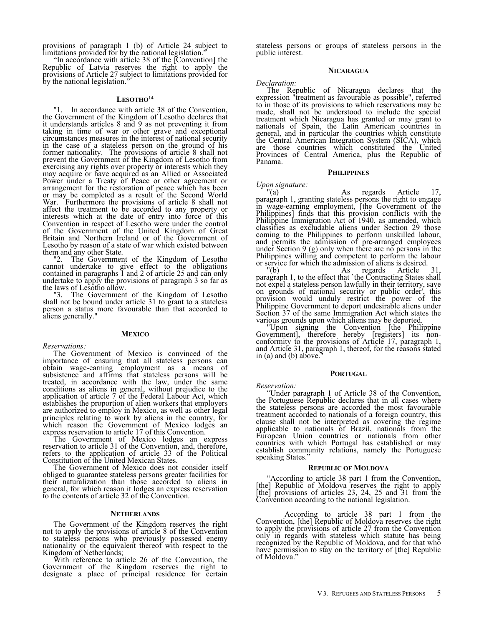provisions of paragraph 1 (b) of Article 24 subject to limitations provided for by the national legislation.

"In accordance with article 38 of the [Convention] the Republic of Latvia reserves the right to apply the provisions of Article 27 subject to limitations provided for by the national legislation."

### **LESOTHO<sup>14</sup>**

"1. In accordance with article 38 of the Convention, the Government of the Kingdom of Lesotho declares that it understands articles 8 and 9 as not preventing it from taking in time of war or other grave and exceptional circumstances measures in the interest of national security in the case of a stateless person on the ground of his former nationality. The provisions of article 8 shall not prevent the Government of the Kingdom of Lesotho from exercising any rights over property or interests which they may acquire or have acquired as an Allied or Associated Power under a Treaty of Peace or other agreement or arrangement for the restoration of peace which has been or may be completed as a result of the Second World War. Furthermore the provisions of article 8 shall not affect the treatment to be accorded to any property or interests which at the date of entry into force of this Convention in respect of Lesotho were under the control of the Government of the United Kingdom of Great Britain and Northern Ireland or of the Government of Lesotho by reason of a state of war which existed between them and any other State.

"2. The Government of the Kingdom of Lesotho cannot undertake to give effect to the obligations contained in paragraphs 1 and 2 of article 25 and can only undertake to apply the provisions of paragraph 3 so far as the laws of Lesotho allow.<br>"3. The Governmen

The Government of the Kingdom of Lesotho shall not be bound under article 31 to grant to a stateless person a status more favourable than that accorded to aliens generally."

### **MEXICO**

### *Reservations:*

The Government of Mexico is convinced of the importance of ensuring that all stateless persons can obtain wage-earning employment as a means of subsistence and affirms that stateless persons will be treated, in accordance with the law, under the same conditions as aliens in general, without prejudice to the application of article 7 of the Federal Labour Act, which establishes the proportion of alien workers that employers are authorized to employ in Mexico, as well as other legal principles relating to work by aliens in the country, for which reason the Government of Mexico lodges an express reservation to article 17 of this Convention.

The Government of Mexico lodges an express reservation to article 31 of the Convention, and, therefore, refers to the application of article 33 of the Political Constitution of the United Mexican States.

The Government of Mexico does not consider itself obliged to guarantee stateless persons greater facilities for their naturalization than those accorded to aliens in general, for which reason it lodges an express reservation to the contents of article 32 of the Convention.

### **NETHERLANDS**

The Government of the Kingdom reserves the right not to apply the provisions of article 8 of the Convention to stateless persons who previously possessed enemy nationality or the equivalent thereof with respect to the Kingdom of Netherlands;

With reference to article 26 of the Convention, the Government of the Kingdom reserves the right to designate a place of principal residence for certain stateless persons or groups of stateless persons in the public interest.

### **NICARAGUA**

### *Declaration:*

The Republic of Nicaragua declares that the expression "treatment as favourable as possible", referred to in those of its provisions to which reservations may be made, shall not be understood to include the special treatment which Nicaragua has granted or may grant to nationals of Spain, the Latin American countries in general, and in particular the countries which constitute the Central American Integration System (SICA), which are those countries which constituted the United Provinces of Central America, plus the Republic of Panama.

### **PHILIPPINES**

# *Upon signature:*

As regards Article 17, paragraph 1, granting stateless persons the right to engage in wage-earning employment, [the Government of the Philippines] finds that this provision conflicts with the Philippine Immigration Act of 1940, as amended, which classifies as excludable aliens under Section 29 those coming to the Philippines to perform unskilled labour, and permits the admission of pre-arranged employees under Section 9 (g) only when there are no persons in the Philippines willing and competent to perform the labour or service for which the admission of aliens is desired.

"(b) As regards Article 31, paragraph 1, to the effect that `the Contracting States shall not expel a stateless person lawfully in their territory, save on grounds of national security or public order', this provision would unduly restrict the power of the Philippine Government to deport undesirable aliens under Section 37 of the same Immigration Act which states the various grounds upon which aliens may be deported.

"Upon signing the Convention [the Philippine Government], therefore hereby [registers] its nonconformity to the provisions of Article 17, paragraph 1, and Article 31, paragraph 1, thereof, for the reasons stated in  $(a)$  and  $(b)$  above.

### **PORTUGAL**

### *Reservation:*

"Under paragraph 1 of Article 38 of the Convention, the Portuguese Republic declares that in all cases where the stateless persons are accorded the most favourable treatment accorded to nationals of a foreign country, this clause shall not be interpreted as covering the regime applicable to nationals of Brazil, nationals from the European Union countries or nationals from other countries with which Portugal has established or may establish community relations, namely the Portuguese speaking States."

### **REPUBLIC OF MOLDOVA**

"According to article 38 part 1 from the Convention, [the] Republic of Moldova reserves the right to apply [the] provisions of articles 23, 24, 25 and 31 from the Convention according to the national legislation.

According to article 38 part 1 from the Convention, [the] Republic of Moldova reserves the right to apply the provisions of article 27 from the Convention only in regards with stateless which statute has being recognized by the Republic of Moldova, and for that who have permission to stay on the territory of [the] Republic of Moldova.'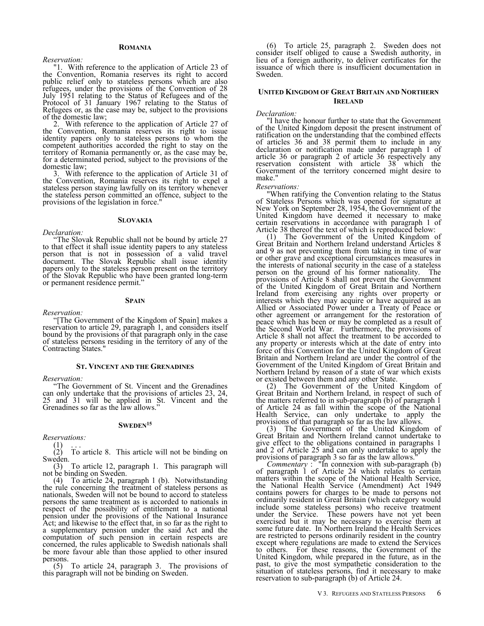### **ROMANIA**

### *Reservation:*

"1. With reference to the application of Article 23 of the Convention, Romania reserves its right to accord public relief only to stateless persons which are also refugees, under the provisions of the Convention of 28 July 1951 relating to the Status of Refugees and of the Protocol of 31 January 1967 relating to the Status of Refugees or, as the case may be, subject to the provisions of the domestic law;

2. With reference to the application of Article 27 of the Convention, Romania reserves its right to issue identity papers only to stateless persons to whom the competent authorities accorded the right to stay on the territory of Romania permanently or, as the case may be, for a determinated period, subject to the provisions of the domestic law;

3. With reference to the application of Article 31 of the Convention, Romania reserves its right to expel a stateless person staying lawfully on its territory whenever the stateless person committed an offence, subject to the provisions of the legislation in force."

### **SLOVAKIA**

### *Declaration:*

"The Slovak Republic shall not be bound by article 27 to that effect it shall issue identity papers to any stateless person that is not in possession of a valid travel document. The Slovak Republic shall issue identity papers only to the stateless person present on the territory of the Slovak Republic who have been granted long-term or permanent residence permit."

### **SPAIN**

*Reservation:*

"[The Government of the Kingdom of Spain] makes a reservation to article 29, paragraph 1, and considers itself bound by the provisions of that paragraph only in the case of stateless persons residing in the territory of any of the Contracting States."

### **ST. VINCENT AND THE GRENADINES**

*Reservation:*

"The Government of St. Vincent and the Grenadines can only undertake that the provisions of articles 23, 24, 25 and 31 will be applied in St. Vincent and the Grenadines so far as the law allows."

### **SWEDEN<sup>15</sup>**

*Reservations:*

 $\binom{1}{2}$ 

To article 8. This article will not be binding on Sweden.

(3) To article 12, paragraph 1. This paragraph will not be binding on Sweden.

(4) To article 24, paragraph 1 (b). Notwithstanding the rule concerning the treatment of stateless persons as nationals, Sweden will not be bound to accord to stateless persons the same treatment as is accorded to nationals in respect of the possibility of entitlement to a national pension under the provisions of the National Insurance Act; and likewise to the effect that, in so far as the right to a supplementary pension under the said Act and the computation of such pension in certain respects are concerned, the rules applicable to Swedish nationals shall be more favour able than those applied to other insured persons.

(5) To article 24, paragraph 3. The provisions of this paragraph will not be binding on Sweden.

(6) To article 25, paragraph 2. Sweden does not consider itself obliged to cause a Swedish authority, in lieu of a foreign authority, to deliver certificates for the issuance of which there is insufficient documentation in Sweden.

### **UNITED KINGDOM OF GREAT BRITAIN AND NORTHERN IRELAND**

### *Declaration:*

"I have the honour further to state that the Government of the United Kingdom deposit the present instrument of ratification on the understanding that the combined effects of articles 36 and 38 permit them to include in any declaration or notification made under paragraph 1 of article 36 or paragraph 2 of article 36 respectively any reservation consistent with article 38 which the Government of the territory concerned might desire to make."

### *Reservations:*

"When ratifying the Convention relating to the Status of Stateless Persons which was opened for signature at New York on September 28, 1954, the Government of the United Kingdom have deemed it necessary to make certain reservations in accordance with paragraph 1 of Article 38 thereof the text of which is reproduced below:

(1) The Government of the United Kingdom of Great Britain and Northern Ireland understand Articles 8 and 9 as not preventing them from taking in time of war or other grave and exceptional circumstances measures in the interests of national security in the case of a stateless person on the ground of his former nationality. The provisions of Article 8 shall not prevent the Government of the United Kingdom of Great Britain and Northern Ireland from exercising any rights over property or interests which they may acquire or have acquired as an Allied or Associated Power under a Treaty of Peace or other agreement or arrangement for the restoration of peace which has been or may be completed as a result of the Second World War. Furthermore, the provisions of Article 8 shall not affect the treatment to be accorded to any property or interests which at the date of entry into force of this Convention for the United Kingdom of Great Britain and Northern Ireland are under the control of the Government of the United Kingdom of Great Britain and Northern Ireland by reason of a state of war which exists or existed between them and any other State.

(2) The Government of the United Kingdom of Great Britain and Northern Ireland, in respect of such of the matters referred to in sub-paragraph (b) of paragraph 1 of Article 24 as fall within the scope of the National Health Service, can only undertake to apply the provisions of that paragraph so far as the law allows.

The Government of the United Kingdom of Great Britain and Northern Ireland cannot undertake to give effect to the obligations contained in paragraphs 1 and 2 of Article 25 and can only undertake to apply the provisions of paragraph 3 so far as the law allows."

*Commentary* : "In connexion with sub-paragraph (b) of paragraph 1 of Article 24 which relates to certain matters within the scope of the National Health Service, the National Health Service (Amendment) Act 1949 contains powers for charges to be made to persons not ordinarily resident in Great Britain (which category would include some stateless persons) who receive treatment under the Service. These powers have not yet been exercised but it may be necessary to exercise them at some future date. In Northern Ireland the Health Services are restricted to persons ordinarily resident in the country except where regulations are made to extend the Services<br>to others. For these reasons, the Government of the For these reasons, the Government of the United Kingdom, while prepared in the future, as in the past, to give the most sympathetic consideration to the situation of stateless persons, find it necessary to make reservation to sub-paragraph (b) of Article 24.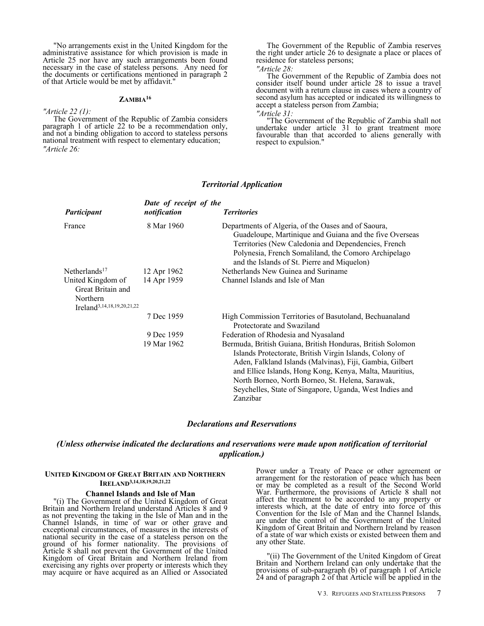"No arrangements exist in the United Kingdom for the administrative assistance for which provision is made in Article 25 nor have any such arrangements been found necessary in the case of stateless persons. Any need for the documents or certifications mentioned in paragraph 2 of that Article would be met by affidavit."

# **ZAMBIA<sup>16</sup>**

*"Article 22 (1):*

The Government of the Republic of Zambia considers paragraph 1 of article 22 to be a recommendation only, and not a binding obligation to accord to stateless persons national treatment with respect to elementary education; *"Article 26:*

The Government of the Republic of Zambia reserves the right under article 26 to designate a place or places of residence for stateless persons; *"Article 28:*

The Government of the Republic of Zambia does not consider itself bound under article 28 to issue a travel document with a return clause in cases where a country of second asylum has accepted or indicated its willingness to accept a stateless person from Zambia;

*"Article 31:*

"The Government of the Republic of Zambia shall not undertake under article 31 to grant treatment more favourable than that accorded to aliens generally with respect to expulsion."

### *Territorial Application*

| Participant                                                                                  | Date of receipt of the<br>notification | <b>Territories</b>                                                                                                                                                                                                                                                                                                                                                      |
|----------------------------------------------------------------------------------------------|----------------------------------------|-------------------------------------------------------------------------------------------------------------------------------------------------------------------------------------------------------------------------------------------------------------------------------------------------------------------------------------------------------------------------|
| France                                                                                       | 8 Mar 1960                             | Departments of Algeria, of the Oases and of Saoura,<br>Guadeloupe, Martinique and Guiana and the five Overseas<br>Territories (New Caledonia and Dependencies, French<br>Polynesia, French Somaliland, the Comoro Archipelago<br>and the Islands of St. Pierre and Miquelon)                                                                                            |
| Netherlands <sup>17</sup>                                                                    | 12 Apr 1962                            | Netherlands New Guinea and Suriname                                                                                                                                                                                                                                                                                                                                     |
| United Kingdom of<br>Great Britain and<br>Northern<br>Ireland <sup>3,14,18,19,20,21,22</sup> | 14 Apr 1959                            | Channel Islands and Isle of Man                                                                                                                                                                                                                                                                                                                                         |
|                                                                                              | 7 Dec 1959                             | High Commission Territories of Basutoland, Bechuanaland<br>Protectorate and Swaziland                                                                                                                                                                                                                                                                                   |
|                                                                                              | 9 Dec 1959                             | Federation of Rhodesia and Nyasaland                                                                                                                                                                                                                                                                                                                                    |
|                                                                                              | 19 Mar 1962                            | Bermuda, British Guiana, British Honduras, British Solomon<br>Islands Protectorate, British Virgin Islands, Colony of<br>Aden, Falkland Islands (Malvinas), Fiji, Gambia, Gilbert<br>and Ellice Islands, Hong Kong, Kenya, Malta, Mauritius,<br>North Borneo, North Borneo, St. Helena, Sarawak,<br>Seychelles, State of Singapore, Uganda, West Indies and<br>Zanzibar |

## *Declarations and Reservations*

# *(Unless otherwise indicated the declarations and reservations were made upon notification of territorial application.)*

### **UNITED KINGDOM OF GREAT BRITAIN AND NORTHERN IRELAND3,14,18,19,20,21,22**

### **Channel Islands and Isle of Man**

"(i) The Government of the United Kingdom of Great Britain and Northern Ireland understand Articles 8 and 9 as not preventing the taking in the Isle of Man and in the Channel Islands, in time of war or other grave and exceptional circumstances, of measures in the interests of national security in the case of a stateless person on the ground of his former nationality. The provisions of Article 8 shall not prevent the Government of the United Kingdom of Great Britain and Northern Ireland from exercising any rights over property or interests which they may acquire or have acquired as an Allied or Associated Power under a Treaty of Peace or other agreement or arrangement for the restoration of peace which has been or may be completed as a result of the Second World War. Furthermore, the provisions of Article 8 shall not affect the treatment to be accorded to any property or interests which, at the date of entry into force of this Convention for the Isle of Man and the Channel Islands, are under the control of the Government of the United Kingdom of Great Britain and Northern Ireland by reason of a state of war which exists or existed between them and any other State.

"(ii) The Government of the United Kingdom of Great Britain and Northern Ireland can only undertake that the provisions of sub-paragraph (b) of paragraph 1 of Article 24 and of paragraph 2 of that Article will be applied in the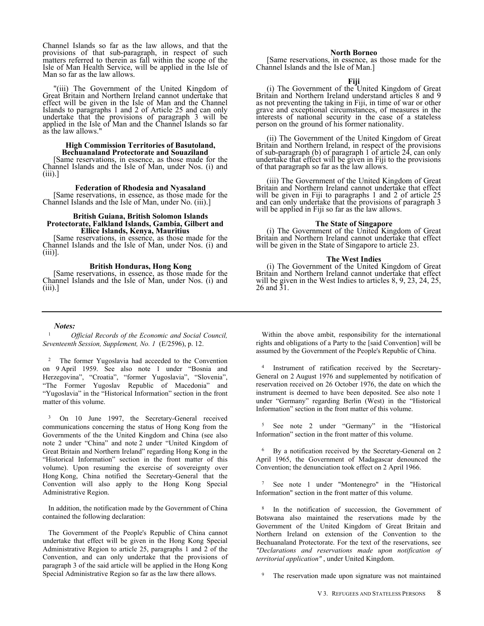Channel Islands so far as the law allows, and that the provisions of that sub-paragraph, in respect of such matters referred to therein as fall within the scope of the Isle of Man Health Service, will be applied in the Isle of Man so far as the law allows.

"(iii) The Government of the United Kingdom of Great Britain and Northern Ireland cannot undertake that effect will be given in the Isle of Man and the Channel Islands to paragraphs 1 and 2 of Article 25 and can only undertake that the provisions of paragraph 3 will be applied in the Isle of Man and the Channel Islands so far as the law allows."

### **High Commission Territories of Basutoland, Bechuanaland Protectorate and Souaziland**

[Same reservations, in essence, as those made for the Channel Islands and the Isle of Man, under Nos. (i) and (iii).]

**Federation of Rhodesia and Nyasaland**

[Same reservations, in essence, as those made for the Channel Islands and the Isle of Man, under No. (iii).]

### **British Guiana, British Solomon Islands Protectorate, Falkland Islands, Gambia, Gilbert and Ellice Islands, Kenya, Mauritius**

[Same reservations, in essence, as those made for the Channel Islands and the Isle of Man, under Nos. (i) and (iii)].

### **British Honduras, Hong Kong**

[Same reservations, in essence, as those made for the Channel Islands and the Isle of Man, under Nos. (i) and  $(iii).$ 

### **North Borneo**

[Same reservations, in essence, as those made for the Channel Islands and the Isle of Man.]

### **Fiji**

(i) The Government of the United Kingdom of Great Britain and Northern Ireland understand articles 8 and 9 as not preventing the taking in Fiji, in time of war or other grave and exceptional circumstances, of measures in the interests of national security in the case of a stateless person on the ground of his former nationality.

(ii) The Government of the United Kingdom of Great Britain and Northern Ireland, in respect of the provisions of sub-paragraph (b) of paragraph 1 of article 24, can only undertake that effect will be given in Fiji to the provisions of that paragraph so far as the law allows.

(iii) The Government of the United Kingdom of Great Britain and Northern Ireland cannot undertake that effect will be given in Fiji to paragraphs 1 and 2 of article 25 and can only undertake that the provisions of paragraph 3 will be applied in Fiji so far as the law allows.

# **The State of Singapore**

(i) The Government of the United Kingdom of Great Britain and Northern Ireland cannot undertake that effect will be given in the State of Singapore to article 23.

### **The West Indies**

(i) The Government of the United Kingdom of Great Britain and Northern Ireland cannot undertake that effect will be given in the West Indies to articles 8, 9, 23, 24, 25, 26 and 31.

# *Notes:*

<sup>1</sup> *Official Records of the Economic and Social Council, Seventeenth Session, Supplement, No. 1* (E/2596), p. 12.

<sup>2</sup> The former Yugoslavia had acceeded to the Convention on 9 April 1959. See also note 1 under "Bosnia and Herzegovina", "Croatia", "former Yugoslavia", "Slovenia", "The Former Yugoslav Republic of Macedonia" and "Yugoslavia" in the "Historical Information" section in the front matter of this volume.

<sup>3</sup> On 10 June 1997, the Secretary-General received communications concerning the status of Hong Kong from the Governments of the the United Kingdom and China (see also note 2 under "China" and note 2 under "United Kingdom of Great Britain and Northern Ireland" regarding Hong Kong in the "Historical Information" section in the front matter of this volume). Upon resuming the exercise of sovereignty over Hong Kong, China notified the Secretary-General that the Convention will also apply to the Hong Kong Special Administrative Region.

In addition, the notification made by the Government of China contained the following declaration:

The Government of the People's Republic of China cannot undertake that effect will be given in the Hong Kong Special Administrative Region to article 25, paragraphs 1 and 2 of the Convention, and can only undertake that the provisions of paragraph 3 of the said article will be applied in the Hong Kong Special Administrative Region so far as the law there allows.

Within the above ambit, responsibility for the international rights and obligations of a Party to the [said Convention] will be assumed by the Government of the People's Republic of China.

4 Instrument of ratification received by the Secretary-General on 2 August 1976 and supplemented by notification of reservation received on 26 October 1976, the date on which the instrument is deemed to have been deposited. See also note 1 under "Germany" regarding Berlin (West) in the "Historical Information" section in the front matter of this volume.

<sup>5</sup> See note 2 under "Germany" in the "Historical Information" section in the front matter of this volume.

<sup>6</sup> By a notification received by the Secretary-General on 2 April 1965, the Government of Madagascar denounced the Convention; the denunciation took effect on 2 April 1966.

See note 1 under "Montenegro" in the "Historical Information" section in the front matter of this volume.

<sup>8</sup> In the notification of succession, the Government of Botswana also maintained the reservations made by the Government of the United Kingdom of Great Britain and Northern Ireland on extension of the Convention to the Bechuanaland Protectorate. For the text of the reservations, see *"Declarations and reservations made upon notification of territorial application"* , under United Kingdom.

<sup>9</sup> The reservation made upon signature was not maintained